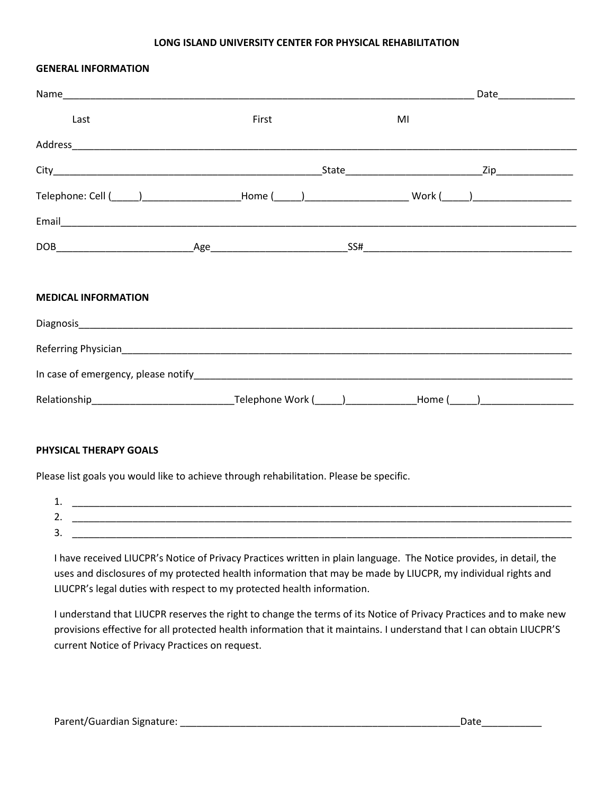#### **LONG ISLAND UNIVERSITY CENTER FOR PHYSICAL REHABILITATION**

#### **GENERAL INFORMATION**

| Last                                                                                                           | First | MI |  |
|----------------------------------------------------------------------------------------------------------------|-------|----|--|
|                                                                                                                |       |    |  |
|                                                                                                                |       |    |  |
| Telephone: Cell (_____)______________________Home (_____)________________________ Work (_____)________________ |       |    |  |
|                                                                                                                |       |    |  |
|                                                                                                                |       |    |  |
| <b>MEDICAL INFORMATION</b>                                                                                     |       |    |  |
|                                                                                                                |       |    |  |
|                                                                                                                |       |    |  |
|                                                                                                                |       |    |  |
|                                                                                                                |       |    |  |

#### **PHYSICAL THERAPY GOALS**

Please list goals you would like to achieve through rehabilitation. Please be specific.

| <b>. .</b>    |  |
|---------------|--|
| -<br>ـ.       |  |
| ∼<br><u>.</u> |  |

I have received LIUCPR's Notice of Privacy Practices written in plain language. The Notice provides, in detail, the uses and disclosures of my protected health information that may be made by LIUCPR, my individual rights and LIUCPR's legal duties with respect to my protected health information.

I understand that LIUCPR reserves the right to change the terms of its Notice of Privacy Practices and to make new provisions effective for all protected health information that it maintains. I understand that I can obtain LIUCPR'S current Notice of Privacy Practices on request.

Parent/Guardian Signature: \_\_\_\_\_\_\_\_\_\_\_\_\_\_\_\_\_\_\_\_\_\_\_\_\_\_\_\_\_\_\_\_\_\_\_\_\_\_\_\_\_\_\_\_\_\_\_\_\_\_\_Date\_\_\_\_\_\_\_\_\_\_\_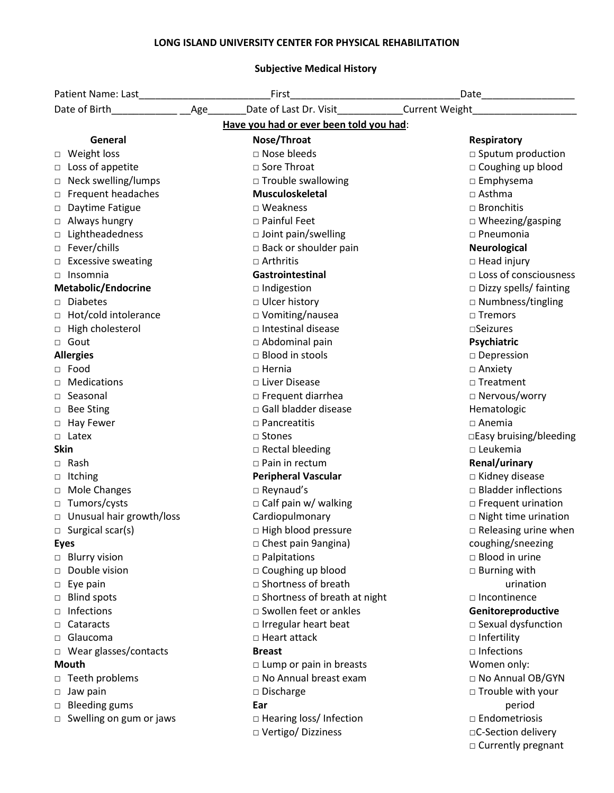# **LONG ISLAND UNIVERSITY CENTER FOR PHYSICAL REHABILITATION**

# **Subjective Medical History**

| Patient Name: Last National Assembly | First<br><u> 1989 - Johann Barn, mars an t-Amerikaansk ferstjer (</u> | Date____________________      |  |
|--------------------------------------|-----------------------------------------------------------------------|-------------------------------|--|
| Age<br>Date of Birth                 | Date of Last Dr. Visit                                                | <b>Current Weight</b>         |  |
|                                      | Have you had or ever been told you had:                               |                               |  |
| General                              | Nose/Throat                                                           | <b>Respiratory</b>            |  |
| □ Weight loss                        | □ Nose bleeds                                                         | $\Box$ Sputum production      |  |
| □ Loss of appetite                   | □ Sore Throat                                                         | □ Coughing up blood           |  |
| □ Neck swelling/lumps                | □ Trouble swallowing                                                  | $\square$ Emphysema           |  |
| □ Frequent headaches                 | <b>Musculoskeletal</b>                                                | $\Box$ Asthma                 |  |
| Daytime Fatigue                      | □ Weakness                                                            | $\Box$ Bronchitis             |  |
| □ Always hungry                      | □ Painful Feet                                                        | $\Box$ Wheezing/gasping       |  |
| □ Lightheadedness                    | □ Joint pain/swelling                                                 | $\square$ Pneumonia           |  |
| □ Fever/chills                       | $\Box$ Back or shoulder pain                                          | <b>Neurological</b>           |  |
| □ Excessive sweating                 | $\Box$ Arthritis                                                      | $\Box$ Head injury            |  |
| $\Box$ Insomnia                      | Gastrointestinal                                                      | □ Loss of consciousness       |  |
| Metabolic/Endocrine                  | □ Indigestion                                                         | $\Box$ Dizzy spells/ fainting |  |
| □ Diabetes                           | □ Ulcer history                                                       | $\square$ Numbness/tingling   |  |
| □ Hot/cold intolerance               | □ Vomiting/nausea                                                     | $\square$ Tremors             |  |
| □ High cholesterol                   | □ Intestinal disease                                                  | $\square$ Seizures            |  |
| □ Gout                               | □ Abdominal pain                                                      | Psychiatric                   |  |
| <b>Allergies</b>                     | $\Box$ Blood in stools                                                | $\square$ Depression          |  |
| $\Box$ Food                          | $\Box$ Hernia                                                         | □ Anxiety                     |  |
| <b>D</b> Medications                 | □ Liver Disease                                                       | $\Box$ Treatment              |  |
| $\Box$ Seasonal                      | $\square$ Frequent diarrhea                                           | □ Nervous/worry               |  |
| □ Bee Sting                          | □ Gall bladder disease                                                | Hematologic                   |  |
| □ Hay Fewer                          | $\Box$ Pancreatitis                                                   | $\Box$ Anemia                 |  |
| □ Latex                              | □ Stones                                                              | □Easy bruising/bleeding       |  |
| Skin                                 | □ Rectal bleeding                                                     | $\square$ Leukemia            |  |
| $\Box$ Rash                          | $\Box$ Pain in rectum                                                 | Renal/urinary                 |  |
| □ Itching                            | <b>Peripheral Vascular</b>                                            | □ Kidney disease              |  |
| □ Mole Changes                       | □ Reynaud's                                                           | $\Box$ Bladder inflections    |  |
| □ Tumors/cysts                       | $\Box$ Calf pain w/ walking                                           | $\Box$ Frequent urination     |  |
| □ Unusual hair growth/loss           | Cardiopulmonary                                                       | $\Box$ Night time urination   |  |
| □ Surgical scar(s)                   | □ High blood pressure                                                 | $\Box$ Releasing urine when   |  |
| <b>Eyes</b>                          | □ Chest pain 9angina)                                                 | coughing/sneezing             |  |
| <b>Blurry vision</b>                 | $\Box$ Palpitations                                                   | $\Box$ Blood in urine         |  |
| Double vision                        | □ Coughing up blood                                                   | $\square$ Burning with        |  |
| $\Box$ Eye pain                      | □ Shortness of breath                                                 | urination                     |  |
| □ Blind spots                        | $\square$ Shortness of breath at night                                | □ Incontinence                |  |
| Infections<br>$\Box$                 | □ Swollen feet or ankles                                              | Genitoreproductive            |  |
| Cataracts<br>$\Box$                  | $\Box$ Irregular heart beat                                           | $\Box$ Sexual dysfunction     |  |
| □ Glaucoma                           | □ Heart attack                                                        | $\Box$ Infertility            |  |
| □ Wear glasses/contacts              | <b>Breast</b>                                                         | $\square$ Infections          |  |
| Mouth                                | $\Box$ Lump or pain in breasts                                        | Women only:                   |  |
| □ Teeth problems                     | □ No Annual breast exam                                               | □ No Annual OB/GYN            |  |
| $\Box$ Jaw pain                      | □ Discharge                                                           | $\Box$ Trouble with your      |  |
| □ Bleeding gums                      | Ear                                                                   | period                        |  |
| $\Box$ Swelling on gum or jaws       | □ Hearing loss/ Infection                                             | $\Box$ Endometriosis          |  |
|                                      | □ Vertigo/ Dizziness                                                  | □C-Section delivery           |  |
|                                      |                                                                       | □ Currently pregnant          |  |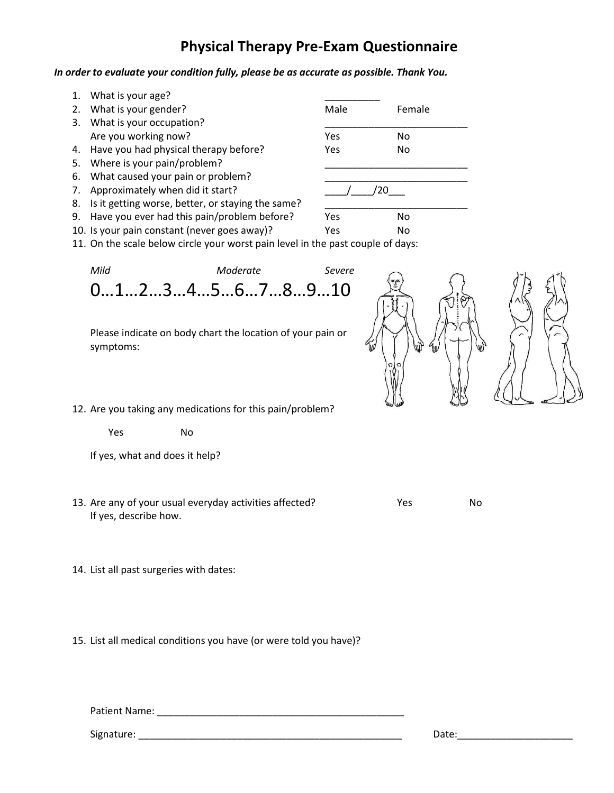# **Physical Therapy Pre-Exam Questionnaire**

# *In order to evaluate your condition fully, please be as accurate as possible. Thank You.*

|    | 1. What is your age?                                 |            |                |
|----|------------------------------------------------------|------------|----------------|
| 2. | What is your gender?                                 | Male       | Female         |
| 3. | What is your occupation?                             |            |                |
|    | Are you working now?                                 | <b>Yes</b> | N <sub>0</sub> |
|    | 4. Have you had physical therapy before?             | Yes        | No             |
| 5. | Where is your pain/problem?                          |            |                |
|    | 6. What caused your pain or problem?                 |            |                |
|    | 7. Approximately when did it start?                  |            |                |
|    | 8. Is it getting worse, better, or staying the same? |            |                |
|    | 9. Have you ever had this pain/problem before?       | Yes        | No             |
|    | 10. Is your pain constant (never goes away)?         | Yes        | No             |

11. On the scale below circle your worst pain level in the past couple of days:

*Mild Moderate Severe* 0…1…2…3…4…5…6…7…8…9…10

Please indicate on body chart the location of your pain or symptoms:



12. Are you taking any medications for this pain/problem?

Yes No

If yes, what and does it help?

- 13. Are any of your usual everyday activities affected? The Most Changes Most Changes are No If yes, describe how.
- 14. List all past surgeries with dates:

15. List all medical conditions you have (or were told you have)?

Patient Name: \_\_\_\_\_\_\_\_\_\_\_\_\_\_\_\_\_\_\_\_\_\_\_\_\_\_\_\_\_\_\_\_\_\_\_\_\_\_\_\_\_\_\_\_\_

Signature: \_\_\_\_\_\_\_\_\_\_\_\_\_\_\_\_\_\_\_\_\_\_\_\_\_\_\_\_\_\_\_\_\_\_\_\_\_\_\_\_\_\_\_\_\_\_\_\_ Date:\_\_\_\_\_\_\_\_\_\_\_\_\_\_\_\_\_\_\_\_\_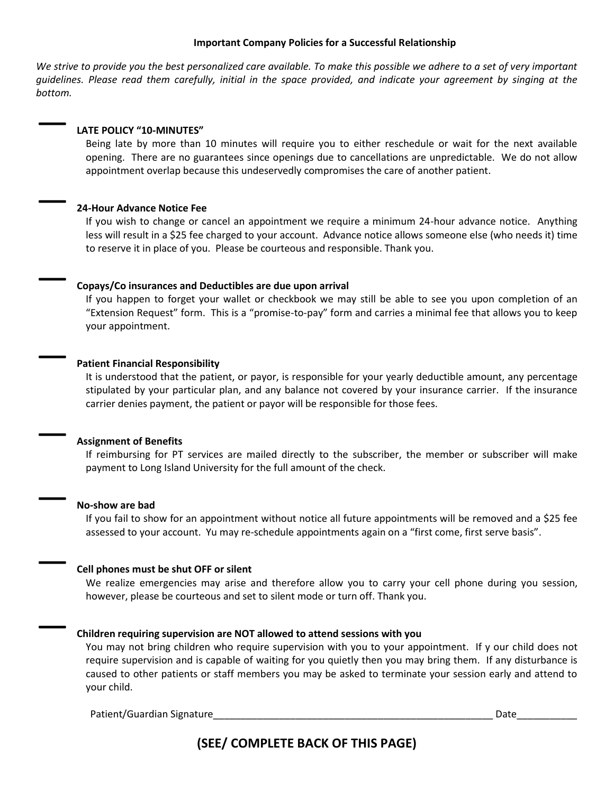#### **Important Company Policies for a Successful Relationship**

*We strive to provide you the best personalized care available. To make this possible we adhere to a set of very important guidelines. Please read them carefully, initial in the space provided, and indicate your agreement by singing at the bottom.*

### — **LATE POLICY "10-MINUTES"**

Being late by more than 10 minutes will require you to either reschedule or wait for the next available opening. There are no guarantees since openings due to cancellations are unpredictable. We do not allow appointment overlap because this undeservedly compromises the care of another patient.

# — **24-Hour Advance Notice Fee**

If you wish to change or cancel an appointment we require a minimum 24-hour advance notice. Anything less will result in a \$25 fee charged to your account. Advance notice allows someone else (who needs it) time to reserve it in place of you. Please be courteous and responsible. Thank you.

#### — **Copays/Co insurances and Deductibles are due upon arrival**

If you happen to forget your wallet or checkbook we may still be able to see you upon completion of an "Extension Request" form. This is a "promise-to-pay" form and carries a minimal fee that allows you to keep your appointment.

# — **Patient Financial Responsibility**

It is understood that the patient, or payor, is responsible for your yearly deductible amount, any percentage stipulated by your particular plan, and any balance not covered by your insurance carrier. If the insurance carrier denies payment, the patient or payor will be responsible for those fees.

# — **Assignment of Benefits**

If reimbursing for PT services are mailed directly to the subscriber, the member or subscriber will make payment to Long Island University for the full amount of the check.

#### — **No-show are bad**

If you fail to show for an appointment without notice all future appointments will be removed and a \$25 fee assessed to your account. Yu may re-schedule appointments again on a "first come, first serve basis".

# — **Cell phones must be shut OFF or silent**

We realize emergencies may arise and therefore allow you to carry your cell phone during you session, however, please be courteous and set to silent mode or turn off. Thank you.

#### — **Children requiring supervision are NOT allowed to attend sessions with you**

You may not bring children who require supervision with you to your appointment. If y our child does not require supervision and is capable of waiting for you quietly then you may bring them. If any disturbance is caused to other patients or staff members you may be asked to terminate your session early and attend to your child.

Patient/Guardian Signature\_\_\_\_\_\_\_\_\_\_\_\_\_\_\_\_\_\_\_\_\_\_\_\_\_\_\_\_\_\_\_\_\_\_\_\_\_\_\_\_\_\_\_\_\_\_\_\_\_\_\_ Date\_\_\_\_\_\_\_\_\_\_\_

**(SEE/ COMPLETE BACK OF THIS PAGE)**